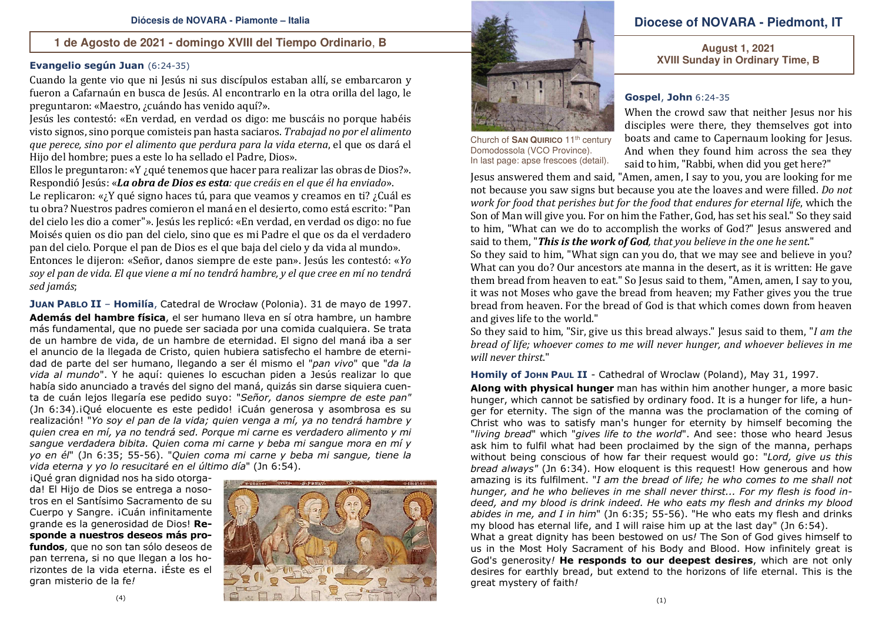#### **1 de Agosto de 2021 - domingo XVIII del Tiempo Ordinario**, **B**

## **Evangelio según Juan** (6:24-35)

Cuando la gente vio que ni Jesús ni sus discípulos estaban allí, se embarcaron y fueron a Cafarnaún en busca de Jesús. Al encontrarlo en la otra orilla del lago, le preguntaron: «Maestro, ¿cuándo has venido aquí?».

 Jesús les contestó: «En verdad, en verdad os digo: me buscáis no porque habéis visto signos, sino porque comisteis pan hasta saciaros. *Trabajad no por el alimento que perece, sino por el alimento que perdura para la vida eterna*, el que os dará el Hijo del hombre; pues a este lo ha sellado el Padre, Dios».

Ellos le preguntaron: «Y ¿qué tenemos que hacer para realizar las obras de Dios?». Respondió Jesús: «*La obra de Dios es esta: que creáis en el que él ha enviado*».

 Le replicaron: «¿Y qué signo haces tú, para que veamos y creamos en ti? ¿Cuál es tu obra? Nuestros padres comieron el maná en el desierto, como está escrito: "Pan del cielo les dio a comer"». Jesús les replicó: «En verdad, en verdad os digo: no fue Moisés quien os dio pan del cielo, sino que es mi Padre el que os da el verdadero pan del cielo. Porque el pan de Dios es el que baja del cielo y da vida al mundo».

 Entonces le dijeron: «Señor, danos siempre de este pan». Jesús les contestó: «*Yo soy el pan de vida. El que viene a mí no tendrá hambre, y el que cree en mí no tendrá sed jamás*;

**JUAN PABLO II** – **Homilía**, Catedral de Wrocław (Polonia). 31 de mayo de 1997. **Además del hambre física**, el ser humano lleva en sí otra hambre, un hambre más fundamental, que no puede ser saciada por una comida cualquiera. Se trata de un hambre de vida, de un hambre de eternidad. El signo del maná iba a ser el anuncio de la llegada de Cristo, quien hubiera satisfecho el hambre de eternidad de parte del ser humano, llegando a ser él mismo el "*pan vivo*" que "*da la vida al mundo*". Y he aquí: quienes lo escuchan piden a Jesús realizar lo que había sido anunciado a través del signo del maná, quizás sin darse siquiera cuenta de cuán lejos llegaría ese pedido suyo: "*Señor, danos siempre de este pan"*  (Jn 6:34).¡Qué elocuente es este pedido! ¡Cuán generosa y asombrosa es su realización! "*Yo soy el pan de la vida; quien venga a mí, ya no tendrá hambre y quien crea en mí, ya no tendrá sed. Porque mi carne es verdadero alimento y mi sangue verdadera bibita. Quien coma mi carne y beba mi sangue mora en mí y yo en él*" (Jn 6:35; 55-56). "*Quien coma mi carne y beba mi sangue, tiene la vida eterna y yo lo resucitaré en el último día*" (Jn 6:54).

¡Qué gran dignidad nos ha sido otorgada! El Hijo de Dios se entrega a nosotros en el Santísimo Sacramento de su Cuerpo y Sangre. ¡Cuán infinitamente grande es la generosidad de Dios! **Responde a nuestros deseos más profundos**, que no son tan sólo deseos de pan terrena, si no que llegan a los horizontes de la vida eterna. ¡Éste es el gran misterio de la fe*!*





Church of **SAN QUIRICO** <sup>11</sup>th century Domodossola (VCO Province). In last page: apse frescoes (detail).

great mystery of faith*!* 

## **Diocese of NOVARA - Piedmont, IT**

**August 1, 2021 XVIII Sunday in Ordinary Time, B** 

#### **Gospel**, **John** 6:24-35

 When the crowd saw that neither Jesus nor his disciples were there, they themselves got into boats and came to Capernaum looking for Jesus. And when they found him across the sea they said to him, "Rabbi, when did you get here?"

 Jesus answered them and said, "Amen, amen, I say to you, you are looking for me not because you saw signs but because you ate the loaves and were filled. *Do not work for food that perishes but for the food that endures for eternal life*, which the Son of Man will give you. For on him the Father, God, has set his seal." So they said to him, "What can we do to accomplish the works of God?" Jesus answered and said to them, "*This is the work of God, that you believe in the one he sent*."

 So they said to him, "What sign can you do, that we may see and believe in you? What can you do? Our ancestors ate manna in the desert, as it is written: He gave them bread from heaven to eat." So Jesus said to them, "Amen, amen, I say to you, it was not Moses who gave the bread from heaven; my Father gives you the true bread from heaven. For the bread of God is that which comes down from heaven and gives life to the world."

 So they said to him, "Sir, give us this bread always." Jesus said to them, "*I am the bread of life; whoever comes to me will never hunger, and whoever believes in me will never thirst*."

**Homily of JOHN PAUL II** - Cathedral of Wroclaw (Poland), May 31, 1997.

**Along with physical hunger** man has within him another hunger, a more basic hunger, which cannot be satisfied by ordinary food. It is a hunger for life, a hunger for eternity. The sign of the manna was the proclamation of the coming of Christ who was to satisfy man's hunger for eternity by himself becoming the "*living bread*" which "*gives life to the world*". And see: those who heard Jesus ask him to fulfil what had been proclaimed by the sign of the manna, perhaps without being conscious of how far their request would go: "*Lord, give us this bread always"* (Jn 6:34). How eloquent is this request! How generous and how amazing is its fulfilment. "*I am the bread of life; he who comes to me shall not hunger, and he who believes in me shall never thirst... For my flesh is food indeed, and my blood is drink indeed. He who eats my flesh and drinks my blood abides in me, and I in him*" (Jn 6:35; 55-56). "He who eats my flesh and drinks my blood has eternal life, and I will raise him up at the last day" (Jn 6:54). What a great dignity has been bestowed on us*!* The Son of God gives himself to us in the Most Holy Sacrament of his Body and Blood. How infinitely great is God's generosity*!* **He responds to our deepest desires**, which are not only desires for earthly bread, but extend to the horizons of life eternal. This is the